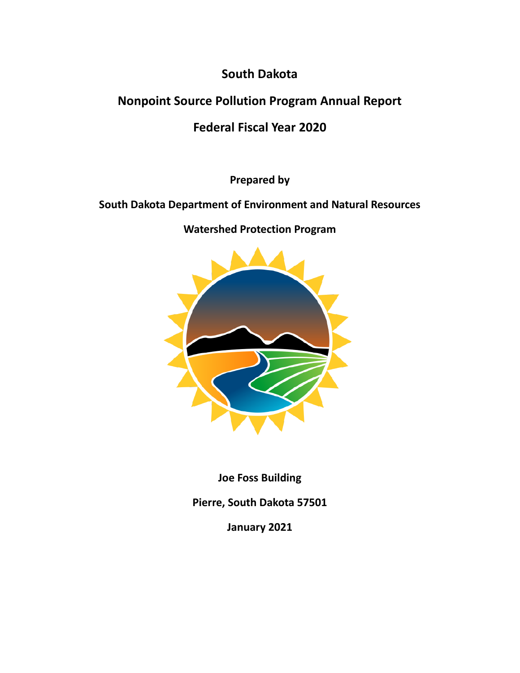# **South Dakota**

# **Nonpoint Source Pollution Program Annual Report**

# **Federal Fiscal Year 2020**

**Prepared by**

# **South Dakota Department of Environment and Natural Resources**

**Watershed Protection Program**



**Joe Foss Building**

**Pierre, South Dakota 57501**

**January 2021**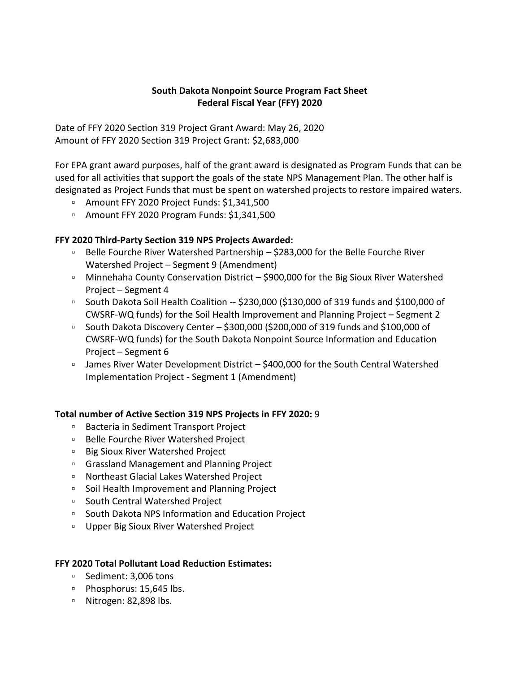## **South Dakota Nonpoint Source Program Fact Sheet Federal Fiscal Year (FFY) 2020**

Date of FFY 2020 Section 319 Project Grant Award: May 26, 2020 Amount of FFY 2020 Section 319 Project Grant: \$2,683,000

For EPA grant award purposes, half of the grant award is designated as Program Funds that can be used for all activities that support the goals of the state NPS Management Plan. The other half is designated as Project Funds that must be spent on watershed projects to restore impaired waters.

- Amount FFY 2020 Project Funds: \$1,341,500
- Amount FFY 2020 Program Funds: \$1,341,500

## **FFY 2020 Third-Party Section 319 NPS Projects Awarded:**

- Belle Fourche River Watershed Partnership \$283,000 for the Belle Fourche River Watershed Project – Segment 9 (Amendment)
- Minnehaha County Conservation District \$900,000 for the Big Sioux River Watershed Project – Segment 4
- South Dakota Soil Health Coalition -- \$230,000 (\$130,000 of 319 funds and \$100,000 of CWSRF-WQ funds) for the Soil Health Improvement and Planning Project – Segment 2
- South Dakota Discovery Center \$300,000 (\$200,000 of 319 funds and \$100,000 of CWSRF-WQ funds) for the South Dakota Nonpoint Source Information and Education Project – Segment 6
- □ James River Water Development District \$400,000 for the South Central Watershed Implementation Project - Segment 1 (Amendment)

#### **Total number of Active Section 319 NPS Projects in FFY 2020:** 9

- Bacteria in Sediment Transport Project
- Belle Fourche River Watershed Project
- Big Sioux River Watershed Project
- Grassland Management and Planning Project
- Northeast Glacial Lakes Watershed Project
- Soil Health Improvement and Planning Project
- South Central Watershed Project
- South Dakota NPS Information and Education Project
- Upper Big Sioux River Watershed Project

#### **FFY 2020 Total Pollutant Load Reduction Estimates:**

- Sediment: 3,006 tons
- □ Phosphorus: 15,645 lbs.
- Nitrogen: 82,898 lbs.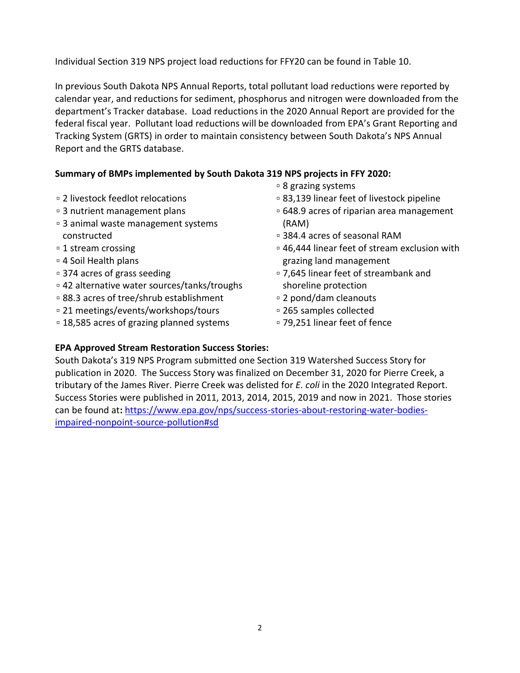Individual Section 319 NPS project load reductions for FFY20 can be found in Table 10.

In previous South Dakota NPS Annual Reports, total pollutant load reductions were reported by calendar year, and reductions for sediment, phosphorus and nitrogen were downloaded from the department's Tracker database. Load reductions in the 2020 Annual Report are provided for the federal fiscal year. Pollutant load reductions will be downloaded from EPA's Grant Reporting and Tracking System (GRTS) in order to maintain consistency between South Dakota's NPS Annual Report and the GRTS database.

## **Summary of BMPs implemented by South Dakota 319 NPS projects in FFY 2020:**

- ▫2 livestock feedlot relocations
- ▫3 nutrient management plans
- ▫3 animal waste management systems constructed
- ▫1 stream crossing
- ▫4 Soil Health plans
- ▫374 acres of grass seeding
- ▫42 alternative water sources/tanks/troughs
- ▫88.3 acres of tree/shrub establishment
- ▫21 meetings/events/workshops/tours
- ▫18,585 acres of grazing planned systems
- ▫8 grazing systems
- ▫83,139 linear feet of livestock pipeline
- ▫648.9 acres of riparian area management (RAM)
- ▫384.4 acres of seasonal RAM
- ▫46,444 linear feet of stream exclusion with grazing land management
- ▫7,645 linear feet of streambank and shoreline protection
- ▫2 pond/dam cleanouts
- ▫265 samples collected
- ▫79,251 linear feet of fence

## **EPA Approved Stream Restoration Success Stories:**

South Dakota's 319 NPS Program submitted one Section 319 Watershed Success Story for publication in 2020. The Success Story was finalized on December 31, 2020 for Pierre Creek, a tributary of the James River. Pierre Creek was delisted for *E. coli* in the 2020 Integrated Report. Success Stories were published in 2011, 2013, 2014, 2015, 2019 and now in 2021. Those stories can be found at**:** [https://www.epa.gov/nps/success-stories-about-restoring-water-bodies](https://www.epa.gov/nps/success-stories-about-restoring-water-bodies-impaired-nonpoint-source-pollution#sd)[impaired-nonpoint-source-pollution#sd](https://www.epa.gov/nps/success-stories-about-restoring-water-bodies-impaired-nonpoint-source-pollution#sd)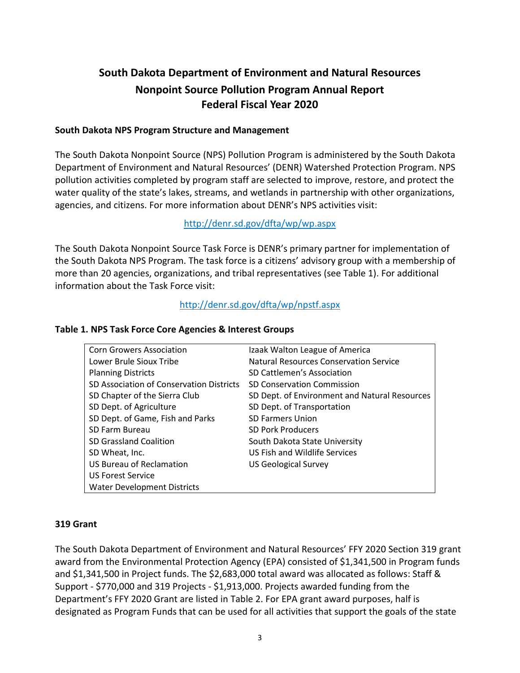# **South Dakota Department of Environment and Natural Resources Nonpoint Source Pollution Program Annual Report Federal Fiscal Year 2020**

#### **South Dakota NPS Program Structure and Management**

The South Dakota Nonpoint Source (NPS) Pollution Program is administered by the South Dakota Department of Environment and Natural Resources' (DENR) Watershed Protection Program. NPS pollution activities completed by program staff are selected to improve, restore, and protect the water quality of the state's lakes, streams, and wetlands in partnership with other organizations, agencies, and citizens. For more information about DENR's NPS activities visit:

### <http://denr.sd.gov/dfta/wp/wp.aspx>

The South Dakota Nonpoint Source Task Force is DENR's primary partner for implementation of the South Dakota NPS Program. The task force is a citizens' advisory group with a membership of more than 20 agencies, organizations, and tribal representatives (see Table 1). For additional information about the Task Force visit:

### <http://denr.sd.gov/dfta/wp/npstf.aspx>

## Corn Growers Association **Izaak Walton League of America** Lower Brule Sioux Tribe Natural Resources Conservation Service Planning Districts SD Cattlemen's Association SD Association of Conservation Districts SD Conservation Commission SD Chapter of the Sierra Club SD Dept. of Environment and Natural Resources SD Dept. of Agriculture SD Dept. of Transportation SD Dept. of Game, Fish and Parks SD Farmers Union SD Farm Bureau SD Pork Producers SD Grassland Coalition South Dakota State University SD Wheat, Inc. **Example 20 Inc.** US Fish and Wildlife Services US Bureau of Reclamation US Geological Survey US Forest Service Water Development Districts

#### **Table 1. NPS Task Force Core Agencies & Interest Groups**

#### **319 Grant**

The South Dakota Department of Environment and Natural Resources' FFY 2020 Section 319 grant award from the Environmental Protection Agency (EPA) consisted of \$1,341,500 in Program funds and \$1,341,500 in Project funds. The \$2,683,000 total award was allocated as follows: Staff & Support - \$770,000 and 319 Projects - \$1,913,000. Projects awarded funding from the Department's FFY 2020 Grant are listed in Table 2. For EPA grant award purposes, half is designated as Program Funds that can be used for all activities that support the goals of the state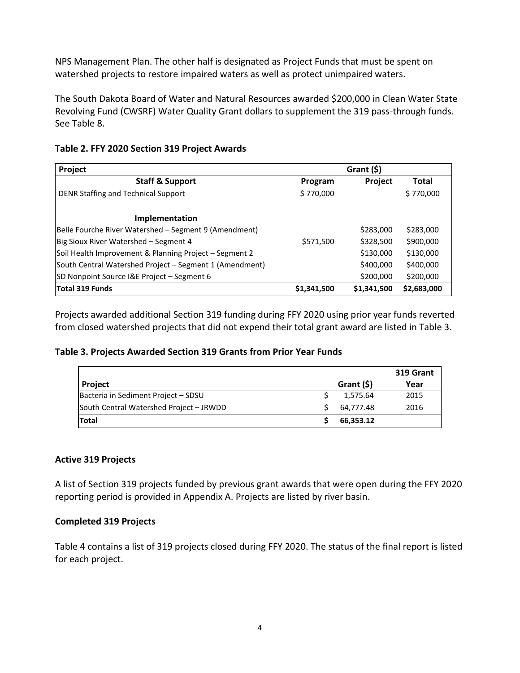NPS Management Plan. The other half is designated as Project Funds that must be spent on watershed projects to restore impaired waters as well as protect unimpaired waters.

The South Dakota Board of Water and Natural Resources awarded \$200,000 in Clean Water State Revolving Fund (CWSRF) Water Quality Grant dollars to supplement the 319 pass-through funds. See Table 8.

| Project                                                 | Grant (\$)  |                |             |
|---------------------------------------------------------|-------------|----------------|-------------|
| <b>Staff &amp; Support</b>                              | Program     | <b>Project</b> | Total       |
| DENR Staffing and Technical Support                     | \$770,000   |                | \$770,000   |
| Implementation                                          |             |                |             |
| Belle Fourche River Watershed - Segment 9 (Amendment)   |             | \$283,000      | \$283,000   |
| Big Sioux River Watershed - Segment 4                   | \$571,500   | \$328,500      | \$900,000   |
| Soil Health Improvement & Planning Project - Segment 2  |             | \$130,000      | \$130,000   |
| South Central Watershed Project - Segment 1 (Amendment) |             | \$400,000      | \$400,000   |
| SD Nonpoint Source I&E Project - Segment 6              |             | \$200,000      | \$200,000   |
| Total 319 Funds                                         | \$1,341,500 | \$1,341,500    | \$2,683,000 |

### **Table 2. FFY 2020 Section 319 Project Awards**

Projects awarded additional Section 319 funding during FFY 2020 using prior year funds reverted from closed watershed projects that did not expend their total grant award are listed in Table 3.

#### **Table 3. Projects Awarded Section 319 Grants from Prior Year Funds**

|                                         |            | 319 Grant |
|-----------------------------------------|------------|-----------|
| <b>Project</b>                          | Grant (\$) | Year      |
| Bacteria in Sediment Project - SDSU     | 1,575.64   | 2015      |
| South Central Watershed Project - JRWDD | 64.777.48  | 2016      |
| Total                                   | 66,353.12  |           |

#### **Active 319 Projects**

A list of Section 319 projects funded by previous grant awards that were open during the FFY 2020 reporting period is provided in Appendix A. Projects are listed by river basin.

## **Completed 319 Projects**

Table 4 contains a list of 319 projects closed during FFY 2020. The status of the final report is listed for each project.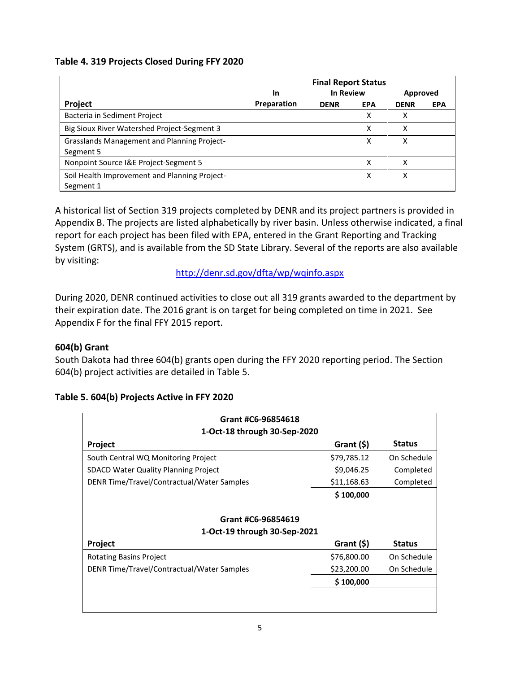## **Table 4. 319 Projects Closed During FFY 2020**

|                                                                 |             | <b>Final Report Status</b> |            |             |            |
|-----------------------------------------------------------------|-------------|----------------------------|------------|-------------|------------|
|                                                                 | In          | <b>In Review</b>           |            | Approved    |            |
| Project                                                         | Preparation | <b>DENR</b>                | <b>EPA</b> | <b>DENR</b> | <b>EPA</b> |
| Bacteria in Sediment Project                                    |             |                            | χ          | x           |            |
| Big Sioux River Watershed Project-Segment 3                     |             |                            | χ          | x           |            |
| <b>Grasslands Management and Planning Project-</b><br>Segment 5 |             |                            | χ          | x           |            |
| Nonpoint Source I&E Project-Segment 5                           |             |                            | x          | x           |            |
| Soil Health Improvement and Planning Project-<br>Segment 1      |             |                            | x          |             |            |

A historical list of Section 319 projects completed by DENR and its project partners is provided in Appendix B. The projects are listed alphabetically by river basin. Unless otherwise indicated, a final report for each project has been filed with EPA, entered in the Grant Reporting and Tracking System (GRTS), and is available from the SD State Library. Several of the reports are also available by visiting:

<http://denr.sd.gov/dfta/wp/wqinfo.aspx>

During 2020, DENR continued activities to close out all 319 grants awarded to the department by their expiration date. The 2016 grant is on target for being completed on time in 2021. See Appendix F for the final FFY 2015 report.

## **604(b) Grant**

South Dakota had three 604(b) grants open during the FFY 2020 reporting period. The Section 604(b) project activities are detailed in Table 5.

| Grant #C6-96854618                          |             |               |  |
|---------------------------------------------|-------------|---------------|--|
| 1-Oct-18 through 30-Sep-2020                |             |               |  |
| Project                                     | Grant (\$)  | <b>Status</b> |  |
| South Central WQ Monitoring Project         | \$79,785.12 | On Schedule   |  |
| <b>SDACD Water Quality Planning Project</b> | \$9,046.25  | Completed     |  |
| DENR Time/Travel/Contractual/Water Samples  | \$11,168.63 | Completed     |  |
|                                             | \$100,000   |               |  |
|                                             |             |               |  |
| Grant #C6-96854619                          |             |               |  |
| 1-Oct-19 through 30-Sep-2021                |             |               |  |
| Project                                     | Grant (\$)  | <b>Status</b> |  |
| <b>Rotating Basins Project</b>              | \$76,800.00 | On Schedule   |  |
| DENR Time/Travel/Contractual/Water Samples  | \$23,200.00 | On Schedule   |  |
|                                             | \$100,000   |               |  |
|                                             |             |               |  |
|                                             |             |               |  |

## **Table 5. 604(b) Projects Active in FFY 2020**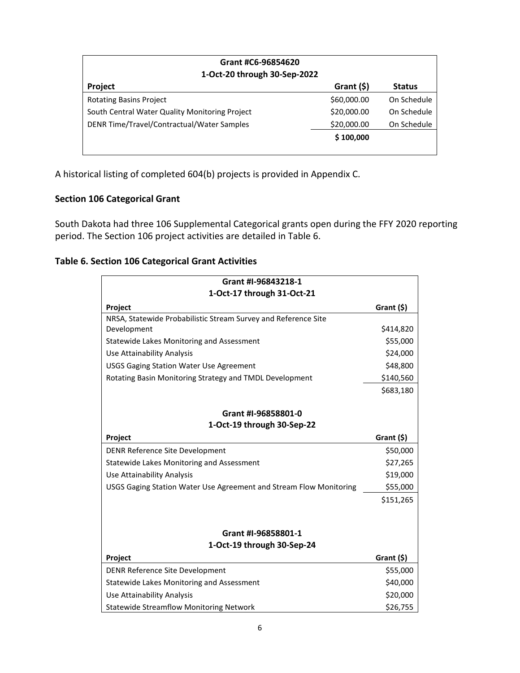| Grant #C6-96854620                             |               |               |  |
|------------------------------------------------|---------------|---------------|--|
| 1-Oct-20 through 30-Sep-2022                   |               |               |  |
| Project                                        | Grant $($ \$) | <b>Status</b> |  |
| <b>Rotating Basins Project</b>                 | \$60,000.00   | On Schedule   |  |
| South Central Water Quality Monitoring Project | \$20,000.00   | On Schedule   |  |
| DENR Time/Travel/Contractual/Water Samples     | \$20,000.00   | On Schedule   |  |
|                                                | \$100,000     |               |  |
|                                                |               |               |  |

A historical listing of completed 604(b) projects is provided in Appendix C.

## **Section 106 Categorical Grant**

South Dakota had three 106 Supplemental Categorical grants open during the FFY 2020 reporting period. The Section 106 project activities are detailed in Table 6.

## **Table 6. Section 106 Categorical Grant Activities**

| Grant #I-96843218-1                                                |               |
|--------------------------------------------------------------------|---------------|
| 1-Oct-17 through 31-Oct-21                                         |               |
| Project                                                            | Grant (\$)    |
| NRSA, Statewide Probabilistic Stream Survey and Reference Site     |               |
| Development                                                        | \$414,820     |
| Statewide Lakes Monitoring and Assessment                          | \$55,000      |
| Use Attainability Analysis                                         | \$24,000      |
| <b>USGS Gaging Station Water Use Agreement</b>                     | \$48,800      |
| Rotating Basin Monitoring Strategy and TMDL Development            | \$140,560     |
|                                                                    | \$683,180     |
| Grant #I-96858801-0                                                |               |
| 1-Oct-19 through 30-Sep-22                                         |               |
| Project                                                            | Grant (\$)    |
| DENR Reference Site Development                                    | \$50,000      |
| <b>Statewide Lakes Monitoring and Assessment</b>                   | \$27,265      |
| <b>Use Attainability Analysis</b>                                  | \$19,000      |
| USGS Gaging Station Water Use Agreement and Stream Flow Monitoring | \$55,000      |
|                                                                    | \$151,265     |
|                                                                    |               |
| Grant #I-96858801-1                                                |               |
| 1-Oct-19 through 30-Sep-24                                         |               |
| Project                                                            | Grant $($ \$) |
| DENR Reference Site Development                                    | \$55,000      |
| Statewide Lakes Monitoring and Assessment                          | \$40,000      |
| Use Attainability Analysis                                         | \$20,000      |
| <b>Statewide Streamflow Monitoring Network</b>                     | \$26,755      |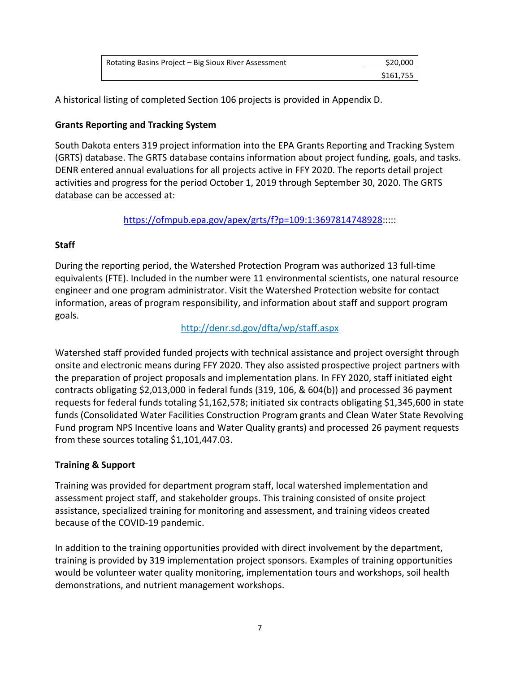| Rotating Basins Project – Big Sioux River Assessment | \$20,000  |
|------------------------------------------------------|-----------|
|                                                      | \$161.755 |

A historical listing of completed Section 106 projects is provided in Appendix D.

## **Grants Reporting and Tracking System**

South Dakota enters 319 project information into the EPA Grants Reporting and Tracking System (GRTS) database. The GRTS database contains information about project funding, goals, and tasks. DENR entered annual evaluations for all projects active in FFY 2020. The reports detail project activities and progress for the period October 1, 2019 through September 30, 2020. The GRTS database can be accessed at:

[https://ofmpub.epa.gov/apex/grts/f?p=109:1:3697814748928:](https://ofmpub.epa.gov/apex/grts/f?p=109:1:3697814748928)::::

## **Staff**

During the reporting period, the Watershed Protection Program was authorized 13 full-time equivalents (FTE). Included in the number were 11 environmental scientists, one natural resource engineer and one program administrator. Visit the Watershed Protection website for contact information, areas of program responsibility, and information about staff and support program goals.

## <http://denr.sd.gov/dfta/wp/staff.aspx>

Watershed staff provided funded projects with technical assistance and project oversight through onsite and electronic means during FFY 2020. They also assisted prospective project partners with the preparation of project proposals and implementation plans. In FFY 2020, staff initiated eight contracts obligating \$2,013,000 in federal funds (319, 106, & 604(b)) and processed 36 payment requests for federal funds totaling \$1,162,578; initiated six contracts obligating \$1,345,600 in state funds (Consolidated Water Facilities Construction Program grants and Clean Water State Revolving Fund program NPS Incentive loans and Water Quality grants) and processed 26 payment requests from these sources totaling \$1,101,447.03.

## **Training & Support**

Training was provided for department program staff, local watershed implementation and assessment project staff, and stakeholder groups. This training consisted of onsite project assistance, specialized training for monitoring and assessment, and training videos created because of the COVID-19 pandemic.

In addition to the training opportunities provided with direct involvement by the department, training is provided by 319 implementation project sponsors. Examples of training opportunities would be volunteer water quality monitoring, implementation tours and workshops, soil health demonstrations, and nutrient management workshops.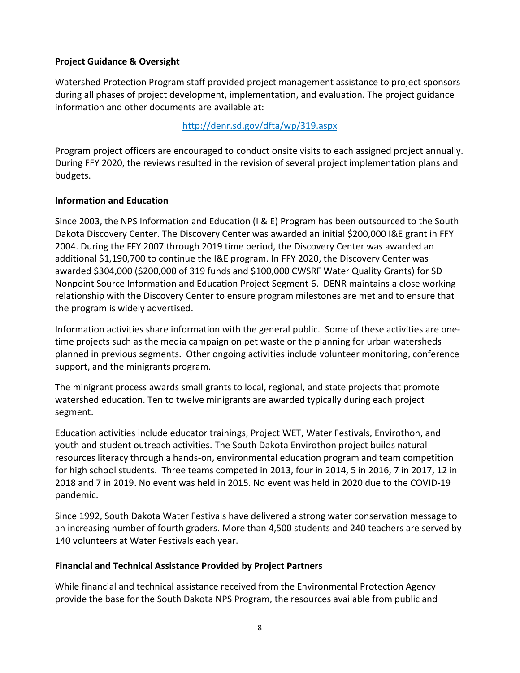## **Project Guidance & Oversight**

Watershed Protection Program staff provided project management assistance to project sponsors during all phases of project development, implementation, and evaluation. The project guidance information and other documents are available at:

## <http://denr.sd.gov/dfta/wp/319.aspx>

Program project officers are encouraged to conduct onsite visits to each assigned project annually. During FFY 2020, the reviews resulted in the revision of several project implementation plans and budgets.

## **Information and Education**

Since 2003, the NPS Information and Education (I & E) Program has been outsourced to the South Dakota Discovery Center. The Discovery Center was awarded an initial \$200,000 I&E grant in FFY 2004. During the FFY 2007 through 2019 time period, the Discovery Center was awarded an additional \$1,190,700 to continue the I&E program. In FFY 2020, the Discovery Center was awarded \$304,000 (\$200,000 of 319 funds and \$100,000 CWSRF Water Quality Grants) for SD Nonpoint Source Information and Education Project Segment 6. DENR maintains a close working relationship with the Discovery Center to ensure program milestones are met and to ensure that the program is widely advertised.

Information activities share information with the general public. Some of these activities are onetime projects such as the media campaign on pet waste or the planning for urban watersheds planned in previous segments. Other ongoing activities include volunteer monitoring, conference support, and the minigrants program.

The minigrant process awards small grants to local, regional, and state projects that promote watershed education. Ten to twelve minigrants are awarded typically during each project segment.

Education activities include educator trainings, Project WET, Water Festivals, Envirothon, and youth and student outreach activities. The South Dakota Envirothon project builds natural resources literacy through a hands-on, environmental education program and team competition for high school students. Three teams competed in 2013, four in 2014, 5 in 2016, 7 in 2017, 12 in 2018 and 7 in 2019. No event was held in 2015. No event was held in 2020 due to the COVID-19 pandemic.

Since 1992, South Dakota Water Festivals have delivered a strong water conservation message to an increasing number of fourth graders. More than 4,500 students and 240 teachers are served by 140 volunteers at Water Festivals each year.

## **Financial and Technical Assistance Provided by Project Partners**

While financial and technical assistance received from the Environmental Protection Agency provide the base for the South Dakota NPS Program, the resources available from public and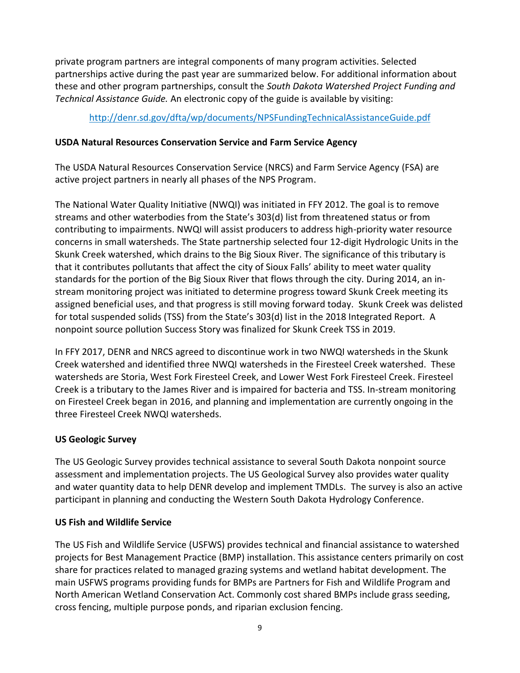private program partners are integral components of many program activities. Selected partnerships active during the past year are summarized below. For additional information about these and other program partnerships, consult the *South Dakota Watershed Project Funding and Technical Assistance Guide.* An electronic copy of the guide is available by visiting:

## <http://denr.sd.gov/dfta/wp/documents/NPSFundingTechnicalAssistanceGuide.pdf>

## **USDA Natural Resources Conservation Service and Farm Service Agency**

The USDA Natural Resources Conservation Service (NRCS) and Farm Service Agency (FSA) are active project partners in nearly all phases of the NPS Program.

The National Water Quality Initiative (NWQI) was initiated in FFY 2012. The goal is to remove streams and other waterbodies from the State's 303(d) list from threatened status or from contributing to impairments. NWQI will assist producers to address high-priority water resource concerns in small watersheds. The State partnership selected four 12-digit Hydrologic Units in the Skunk Creek watershed, which drains to the Big Sioux River. The significance of this tributary is that it contributes pollutants that affect the city of Sioux Falls' ability to meet water quality standards for the portion of the Big Sioux River that flows through the city. During 2014, an instream monitoring project was initiated to determine progress toward Skunk Creek meeting its assigned beneficial uses, and that progress is still moving forward today. Skunk Creek was delisted for total suspended solids (TSS) from the State's 303(d) list in the 2018 Integrated Report. A nonpoint source pollution Success Story was finalized for Skunk Creek TSS in 2019.

In FFY 2017, DENR and NRCS agreed to discontinue work in two NWQI watersheds in the Skunk Creek watershed and identified three NWQI watersheds in the Firesteel Creek watershed. These watersheds are Storia, West Fork Firesteel Creek, and Lower West Fork Firesteel Creek. Firesteel Creek is a tributary to the James River and is impaired for bacteria and TSS. In-stream monitoring on Firesteel Creek began in 2016, and planning and implementation are currently ongoing in the three Firesteel Creek NWQI watersheds.

## **US Geologic Survey**

The US Geologic Survey provides technical assistance to several South Dakota nonpoint source assessment and implementation projects. The US Geological Survey also provides water quality and water quantity data to help DENR develop and implement TMDLs. The survey is also an active participant in planning and conducting the Western South Dakota Hydrology Conference.

#### **US Fish and Wildlife Service**

The US Fish and Wildlife Service (USFWS) provides technical and financial assistance to watershed projects for Best Management Practice (BMP) installation. This assistance centers primarily on cost share for practices related to managed grazing systems and wetland habitat development. The main USFWS programs providing funds for BMPs are Partners for Fish and Wildlife Program and North American Wetland Conservation Act. Commonly cost shared BMPs include grass seeding, cross fencing, multiple purpose ponds, and riparian exclusion fencing.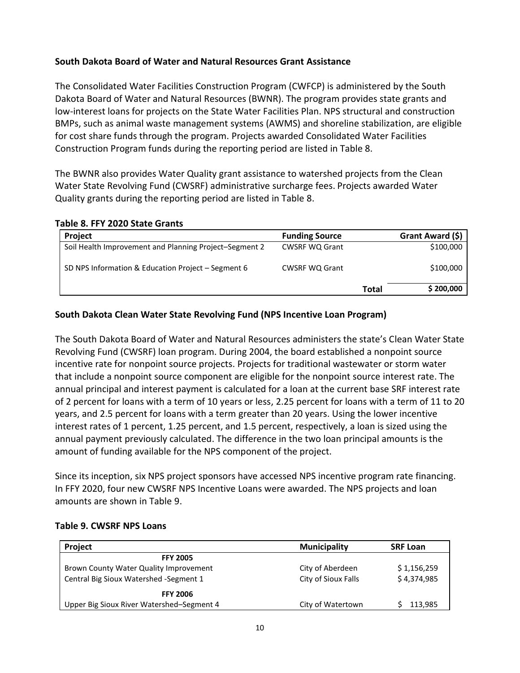## **South Dakota Board of Water and Natural Resources Grant Assistance**

The Consolidated Water Facilities Construction Program (CWFCP) is administered by the South Dakota Board of Water and Natural Resources (BWNR). The program provides state grants and low-interest loans for projects on the State Water Facilities Plan. NPS structural and construction BMPs, such as animal waste management systems (AWMS) and shoreline stabilization, are eligible for cost share funds through the program. Projects awarded Consolidated Water Facilities Construction Program funds during the reporting period are listed in Table 8.

The BWNR also provides Water Quality grant assistance to watershed projects from the Clean Water State Revolving Fund (CWSRF) administrative surcharge fees. Projects awarded Water Quality grants during the reporting period are listed in Table 8.

#### **Table 8. FFY 2020 State Grants**

| Project                                                | <b>Funding Source</b> |              | Grant Award (\$) |
|--------------------------------------------------------|-----------------------|--------------|------------------|
| Soil Health Improvement and Planning Project-Segment 2 | <b>CWSRF WQ Grant</b> |              | \$100,000        |
| SD NPS Information & Education Project - Segment 6     | <b>CWSRF WQ Grant</b> |              | \$100,000        |
|                                                        |                       | <b>Total</b> | \$200,000        |

#### **South Dakota Clean Water State Revolving Fund (NPS Incentive Loan Program)**

The South Dakota Board of Water and Natural Resources administers the state's Clean Water State Revolving Fund (CWSRF) loan program. During 2004, the board established a nonpoint source incentive rate for nonpoint source projects. Projects for traditional wastewater or storm water that include a nonpoint source component are eligible for the nonpoint source interest rate. The annual principal and interest payment is calculated for a loan at the current base SRF interest rate of 2 percent for loans with a term of 10 years or less, 2.25 percent for loans with a term of 11 to 20 years, and 2.5 percent for loans with a term greater than 20 years. Using the lower incentive interest rates of 1 percent, 1.25 percent, and 1.5 percent, respectively, a loan is sized using the annual payment previously calculated. The difference in the two loan principal amounts is the amount of funding available for the NPS component of the project.

Since its inception, six NPS project sponsors have accessed NPS incentive program rate financing. In FFY 2020, four new CWSRF NPS Incentive Loans were awarded. The NPS projects and loan amounts are shown in Table 9.

#### **Table 9. CWSRF NPS Loans**

| Project                                   | <b>Municipality</b> | <b>SRF Loan</b> |
|-------------------------------------------|---------------------|-----------------|
| <b>FFY 2005</b>                           |                     |                 |
| Brown County Water Quality Improvement    | City of Aberdeen    | \$1,156,259     |
| Central Big Sioux Watershed - Segment 1   | City of Sioux Falls | \$4,374,985     |
| <b>FFY 2006</b>                           |                     |                 |
| Upper Big Sioux River Watershed-Segment 4 | City of Watertown   | 113,985         |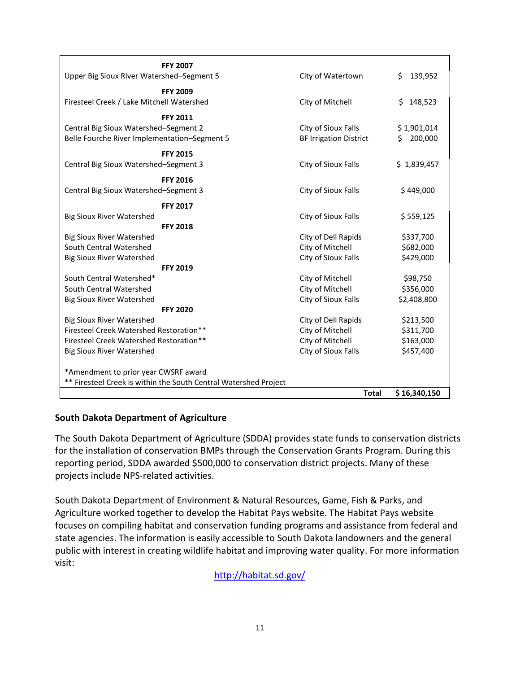| <b>FFY 2007</b><br>Upper Big Sioux River Watershed-Segment 5                                             | City of Watertown                                    |              | 139,952<br>Ś.                |
|----------------------------------------------------------------------------------------------------------|------------------------------------------------------|--------------|------------------------------|
|                                                                                                          |                                                      |              |                              |
| <b>FFY 2009</b><br>Firesteel Creek / Lake Mitchell Watershed                                             | City of Mitchell                                     |              | \$148,523                    |
| <b>FFY 2011</b><br>Central Big Sioux Watershed-Segment 2<br>Belle Fourche River Implementation-Segment 5 | City of Sioux Falls<br><b>BF Irrigation District</b> |              | \$1,901,014<br>200,000<br>Ś. |
|                                                                                                          |                                                      |              |                              |
| <b>FFY 2015</b><br>Central Big Sioux Watershed-Segment 3                                                 | City of Sioux Falls                                  |              | \$1,839,457                  |
| <b>FFY 2016</b>                                                                                          |                                                      |              |                              |
| Central Big Sioux Watershed-Segment 3                                                                    | City of Sioux Falls                                  |              | \$449,000                    |
| <b>FFY 2017</b>                                                                                          |                                                      |              |                              |
| <b>Big Sioux River Watershed</b>                                                                         | City of Sioux Falls                                  |              | \$559,125                    |
| <b>FFY 2018</b>                                                                                          |                                                      |              |                              |
| <b>Big Sioux River Watershed</b>                                                                         | City of Dell Rapids                                  |              | \$337,700                    |
| South Central Watershed                                                                                  | City of Mitchell                                     |              | \$682,000                    |
| <b>Big Sioux River Watershed</b>                                                                         | City of Sioux Falls                                  |              | \$429,000                    |
| <b>FFY 2019</b>                                                                                          |                                                      |              |                              |
| South Central Watershed*                                                                                 | City of Mitchell                                     |              | \$98,750                     |
| South Central Watershed                                                                                  | City of Mitchell                                     |              | \$356,000                    |
| <b>Big Sioux River Watershed</b>                                                                         | City of Sioux Falls                                  |              | \$2,408,800                  |
| <b>FFY 2020</b>                                                                                          |                                                      |              |                              |
| <b>Big Sioux River Watershed</b>                                                                         | City of Dell Rapids                                  |              | \$213,500                    |
| Firesteel Creek Watershed Restoration**                                                                  | City of Mitchell                                     |              | \$311,700                    |
| Firesteel Creek Watershed Restoration**                                                                  | City of Mitchell                                     |              | \$163,000                    |
| <b>Big Sioux River Watershed</b>                                                                         | City of Sioux Falls                                  |              | \$457,400                    |
| *Amendment to prior year CWSRF award                                                                     |                                                      |              |                              |
| ** Firesteel Creek is within the South Central Watershed Project                                         |                                                      |              |                              |
|                                                                                                          |                                                      | <b>Total</b> | \$16,340,150                 |

#### **South Dakota Department of Agriculture**

The South Dakota Department of Agriculture (SDDA) provides state funds to conservation districts for the installation of conservation BMPs through the Conservation Grants Program. During this reporting period, SDDA awarded \$500,000 to conservation district projects. Many of these projects include NPS-related activities.

South Dakota Department of Environment & Natural Resources, Game, Fish & Parks, and Agriculture worked together to develop the Habitat Pays website. The Habitat Pays website focuses on compiling habitat and conservation funding programs and assistance from federal and state agencies. The information is easily accessible to South Dakota landowners and the general public with interest in creating wildlife habitat and improving water quality. For more information visit:

<http://habitat.sd.gov/>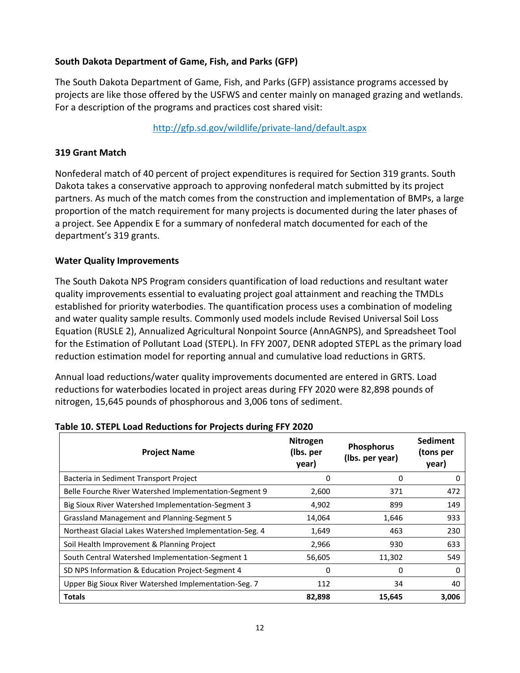## **South Dakota Department of Game, Fish, and Parks (GFP)**

The South Dakota Department of Game, Fish, and Parks (GFP) assistance programs accessed by projects are like those offered by the USFWS and center mainly on managed grazing and wetlands. For a description of the programs and practices cost shared visit:

## <http://gfp.sd.gov/wildlife/private-land/default.aspx>

#### **319 Grant Match**

Nonfederal match of 40 percent of project expenditures is required for Section 319 grants. South Dakota takes a conservative approach to approving nonfederal match submitted by its project partners. As much of the match comes from the construction and implementation of BMPs, a large proportion of the match requirement for many projects is documented during the later phases of a project. See Appendix E for a summary of nonfederal match documented for each of the department's 319 grants.

### **Water Quality Improvements**

The South Dakota NPS Program considers quantification of load reductions and resultant water quality improvements essential to evaluating project goal attainment and reaching the TMDLs established for priority waterbodies. The quantification process uses a combination of modeling and water quality sample results. Commonly used models include Revised Universal Soil Loss Equation (RUSLE 2), Annualized Agricultural Nonpoint Source (AnnAGNPS), and Spreadsheet Tool for the Estimation of Pollutant Load (STEPL). In FFY 2007, DENR adopted STEPL as the primary load reduction estimation model for reporting annual and cumulative load reductions in GRTS.

Annual load reductions/water quality improvements documented are entered in GRTS. Load reductions for waterbodies located in project areas during FFY 2020 were 82,898 pounds of nitrogen, 15,645 pounds of phosphorous and 3,006 tons of sediment.

| <b>Project Name</b>                                     | <b>Nitrogen</b><br>(lbs. per<br>year) | <b>Phosphorus</b><br>(Ibs. per year) | <b>Sediment</b><br>(tons per<br>year) |
|---------------------------------------------------------|---------------------------------------|--------------------------------------|---------------------------------------|
| Bacteria in Sediment Transport Project                  | 0                                     | 0                                    | 0                                     |
| Belle Fourche River Watershed Implementation-Segment 9  | 2,600                                 | 371                                  | 472                                   |
| Big Sioux River Watershed Implementation-Segment 3      | 4,902                                 | 899                                  | 149                                   |
| <b>Grassland Management and Planning-Segment 5</b>      | 14,064                                | 1,646                                | 933                                   |
| Northeast Glacial Lakes Watershed Implementation-Seg. 4 | 1,649                                 | 463                                  | 230                                   |
| Soil Health Improvement & Planning Project              | 2,966                                 | 930                                  | 633                                   |
| South Central Watershed Implementation-Segment 1        | 56,605                                | 11,302                               | 549                                   |
| SD NPS Information & Education Project-Segment 4        | 0                                     | 0                                    | 0                                     |
| Upper Big Sioux River Watershed Implementation-Seg. 7   | 112                                   | 34                                   | 40                                    |
| <b>Totals</b>                                           | 82,898                                | 15,645                               | 3,006                                 |

#### **Table 10. STEPL Load Reductions for Projects during FFY 2020**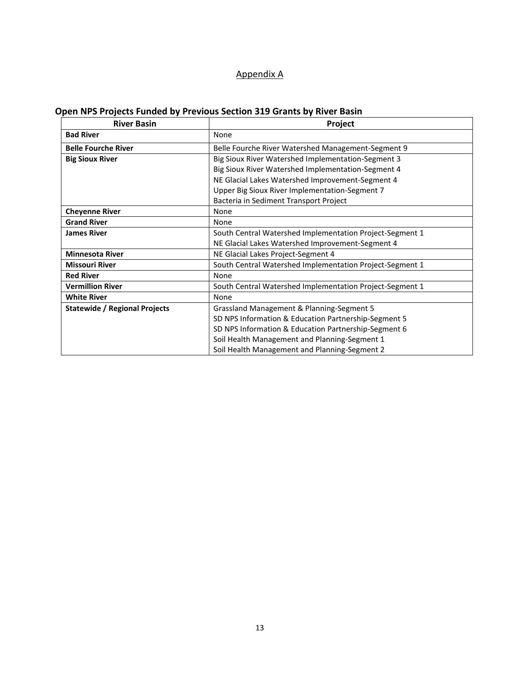## Appendix A

## **Open NPS Projects Funded by Previous Section 319 Grants by River Basin**

| <b>River Basin</b>                   | Project                                                  |
|--------------------------------------|----------------------------------------------------------|
| <b>Bad River</b>                     | None                                                     |
| <b>Belle Fourche River</b>           | Belle Fourche River Watershed Management-Segment 9       |
| <b>Big Sioux River</b>               | Big Sioux River Watershed Implementation-Segment 3       |
|                                      | Big Sioux River Watershed Implementation-Segment 4       |
|                                      | NE Glacial Lakes Watershed Improvement-Segment 4         |
|                                      | Upper Big Sioux River Implementation-Segment 7           |
|                                      | Bacteria in Sediment Transport Project                   |
| <b>Cheyenne River</b>                | None                                                     |
| <b>Grand River</b>                   | None                                                     |
| <b>James River</b>                   | South Central Watershed Implementation Project-Segment 1 |
|                                      | NE Glacial Lakes Watershed Improvement-Segment 4         |
| <b>Minnesota River</b>               | NE Glacial Lakes Project-Segment 4                       |
| <b>Missouri River</b>                | South Central Watershed Implementation Project-Segment 1 |
| <b>Red River</b>                     | None                                                     |
| <b>Vermillion River</b>              | South Central Watershed Implementation Project-Segment 1 |
| <b>White River</b>                   | None                                                     |
| <b>Statewide / Regional Projects</b> | Grassland Management & Planning-Segment 5                |
|                                      | SD NPS Information & Education Partnership-Segment 5     |
|                                      | SD NPS Information & Education Partnership-Segment 6     |
|                                      | Soil Health Management and Planning-Segment 1            |
|                                      | Soil Health Management and Planning-Segment 2            |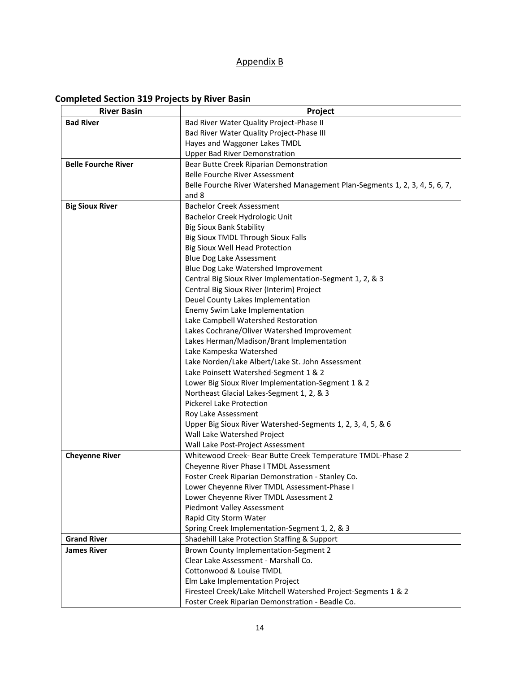# Appendix B

# **Completed Section 319 Projects by River Basin**

| <b>Bad River</b><br>Bad River Water Quality Project-Phase II<br>Bad River Water Quality Project-Phase III<br>Hayes and Waggoner Lakes TMDL<br><b>Upper Bad River Demonstration</b><br><b>Belle Fourche River</b><br>Bear Butte Creek Riparian Demonstration<br>Belle Fourche River Assessment<br>Belle Fourche River Watershed Management Plan-Segments 1, 2, 3, 4, 5, 6, 7,<br>and 8<br><b>Big Sioux River</b><br><b>Bachelor Creek Assessment</b><br>Bachelor Creek Hydrologic Unit<br><b>Big Sioux Bank Stability</b><br>Big Sioux TMDL Through Sioux Falls<br><b>Big Sioux Well Head Protection</b><br>Blue Dog Lake Assessment<br>Blue Dog Lake Watershed Improvement<br>Central Big Sioux River Implementation-Segment 1, 2, & 3<br>Central Big Sioux River (Interim) Project<br>Deuel County Lakes Implementation<br>Enemy Swim Lake Implementation |
|------------------------------------------------------------------------------------------------------------------------------------------------------------------------------------------------------------------------------------------------------------------------------------------------------------------------------------------------------------------------------------------------------------------------------------------------------------------------------------------------------------------------------------------------------------------------------------------------------------------------------------------------------------------------------------------------------------------------------------------------------------------------------------------------------------------------------------------------------------|
|                                                                                                                                                                                                                                                                                                                                                                                                                                                                                                                                                                                                                                                                                                                                                                                                                                                            |
|                                                                                                                                                                                                                                                                                                                                                                                                                                                                                                                                                                                                                                                                                                                                                                                                                                                            |
|                                                                                                                                                                                                                                                                                                                                                                                                                                                                                                                                                                                                                                                                                                                                                                                                                                                            |
|                                                                                                                                                                                                                                                                                                                                                                                                                                                                                                                                                                                                                                                                                                                                                                                                                                                            |
|                                                                                                                                                                                                                                                                                                                                                                                                                                                                                                                                                                                                                                                                                                                                                                                                                                                            |
|                                                                                                                                                                                                                                                                                                                                                                                                                                                                                                                                                                                                                                                                                                                                                                                                                                                            |
|                                                                                                                                                                                                                                                                                                                                                                                                                                                                                                                                                                                                                                                                                                                                                                                                                                                            |
|                                                                                                                                                                                                                                                                                                                                                                                                                                                                                                                                                                                                                                                                                                                                                                                                                                                            |
|                                                                                                                                                                                                                                                                                                                                                                                                                                                                                                                                                                                                                                                                                                                                                                                                                                                            |
|                                                                                                                                                                                                                                                                                                                                                                                                                                                                                                                                                                                                                                                                                                                                                                                                                                                            |
|                                                                                                                                                                                                                                                                                                                                                                                                                                                                                                                                                                                                                                                                                                                                                                                                                                                            |
|                                                                                                                                                                                                                                                                                                                                                                                                                                                                                                                                                                                                                                                                                                                                                                                                                                                            |
|                                                                                                                                                                                                                                                                                                                                                                                                                                                                                                                                                                                                                                                                                                                                                                                                                                                            |
|                                                                                                                                                                                                                                                                                                                                                                                                                                                                                                                                                                                                                                                                                                                                                                                                                                                            |
|                                                                                                                                                                                                                                                                                                                                                                                                                                                                                                                                                                                                                                                                                                                                                                                                                                                            |
|                                                                                                                                                                                                                                                                                                                                                                                                                                                                                                                                                                                                                                                                                                                                                                                                                                                            |
|                                                                                                                                                                                                                                                                                                                                                                                                                                                                                                                                                                                                                                                                                                                                                                                                                                                            |
|                                                                                                                                                                                                                                                                                                                                                                                                                                                                                                                                                                                                                                                                                                                                                                                                                                                            |
|                                                                                                                                                                                                                                                                                                                                                                                                                                                                                                                                                                                                                                                                                                                                                                                                                                                            |
| Lake Campbell Watershed Restoration                                                                                                                                                                                                                                                                                                                                                                                                                                                                                                                                                                                                                                                                                                                                                                                                                        |
| Lakes Cochrane/Oliver Watershed Improvement                                                                                                                                                                                                                                                                                                                                                                                                                                                                                                                                                                                                                                                                                                                                                                                                                |
| Lakes Herman/Madison/Brant Implementation                                                                                                                                                                                                                                                                                                                                                                                                                                                                                                                                                                                                                                                                                                                                                                                                                  |
| Lake Kampeska Watershed                                                                                                                                                                                                                                                                                                                                                                                                                                                                                                                                                                                                                                                                                                                                                                                                                                    |
| Lake Norden/Lake Albert/Lake St. John Assessment                                                                                                                                                                                                                                                                                                                                                                                                                                                                                                                                                                                                                                                                                                                                                                                                           |
| Lake Poinsett Watershed-Segment 1 & 2                                                                                                                                                                                                                                                                                                                                                                                                                                                                                                                                                                                                                                                                                                                                                                                                                      |
| Lower Big Sioux River Implementation-Segment 1 & 2                                                                                                                                                                                                                                                                                                                                                                                                                                                                                                                                                                                                                                                                                                                                                                                                         |
| Northeast Glacial Lakes-Segment 1, 2, & 3                                                                                                                                                                                                                                                                                                                                                                                                                                                                                                                                                                                                                                                                                                                                                                                                                  |
| Pickerel Lake Protection                                                                                                                                                                                                                                                                                                                                                                                                                                                                                                                                                                                                                                                                                                                                                                                                                                   |
| Roy Lake Assessment                                                                                                                                                                                                                                                                                                                                                                                                                                                                                                                                                                                                                                                                                                                                                                                                                                        |
| Upper Big Sioux River Watershed-Segments 1, 2, 3, 4, 5, & 6                                                                                                                                                                                                                                                                                                                                                                                                                                                                                                                                                                                                                                                                                                                                                                                                |
| Wall Lake Watershed Project                                                                                                                                                                                                                                                                                                                                                                                                                                                                                                                                                                                                                                                                                                                                                                                                                                |
| Wall Lake Post-Project Assessment                                                                                                                                                                                                                                                                                                                                                                                                                                                                                                                                                                                                                                                                                                                                                                                                                          |
| <b>Cheyenne River</b><br>Whitewood Creek- Bear Butte Creek Temperature TMDL-Phase 2                                                                                                                                                                                                                                                                                                                                                                                                                                                                                                                                                                                                                                                                                                                                                                        |
| Cheyenne River Phase I TMDL Assessment                                                                                                                                                                                                                                                                                                                                                                                                                                                                                                                                                                                                                                                                                                                                                                                                                     |
| Foster Creek Riparian Demonstration - Stanley Co.                                                                                                                                                                                                                                                                                                                                                                                                                                                                                                                                                                                                                                                                                                                                                                                                          |
| Lower Cheyenne River TMDL Assessment-Phase I                                                                                                                                                                                                                                                                                                                                                                                                                                                                                                                                                                                                                                                                                                                                                                                                               |
| Lower Cheyenne River TMDL Assessment 2                                                                                                                                                                                                                                                                                                                                                                                                                                                                                                                                                                                                                                                                                                                                                                                                                     |
| Piedmont Valley Assessment                                                                                                                                                                                                                                                                                                                                                                                                                                                                                                                                                                                                                                                                                                                                                                                                                                 |
| Rapid City Storm Water                                                                                                                                                                                                                                                                                                                                                                                                                                                                                                                                                                                                                                                                                                                                                                                                                                     |
| Spring Creek Implementation-Segment 1, 2, & 3<br><b>Grand River</b>                                                                                                                                                                                                                                                                                                                                                                                                                                                                                                                                                                                                                                                                                                                                                                                        |
| Shadehill Lake Protection Staffing & Support<br><b>James River</b>                                                                                                                                                                                                                                                                                                                                                                                                                                                                                                                                                                                                                                                                                                                                                                                         |
| Brown County Implementation-Segment 2<br>Clear Lake Assessment - Marshall Co.                                                                                                                                                                                                                                                                                                                                                                                                                                                                                                                                                                                                                                                                                                                                                                              |
| Cottonwood & Louise TMDL                                                                                                                                                                                                                                                                                                                                                                                                                                                                                                                                                                                                                                                                                                                                                                                                                                   |
| Elm Lake Implementation Project                                                                                                                                                                                                                                                                                                                                                                                                                                                                                                                                                                                                                                                                                                                                                                                                                            |
| Firesteel Creek/Lake Mitchell Watershed Project-Segments 1 & 2                                                                                                                                                                                                                                                                                                                                                                                                                                                                                                                                                                                                                                                                                                                                                                                             |
| Foster Creek Riparian Demonstration - Beadle Co.                                                                                                                                                                                                                                                                                                                                                                                                                                                                                                                                                                                                                                                                                                                                                                                                           |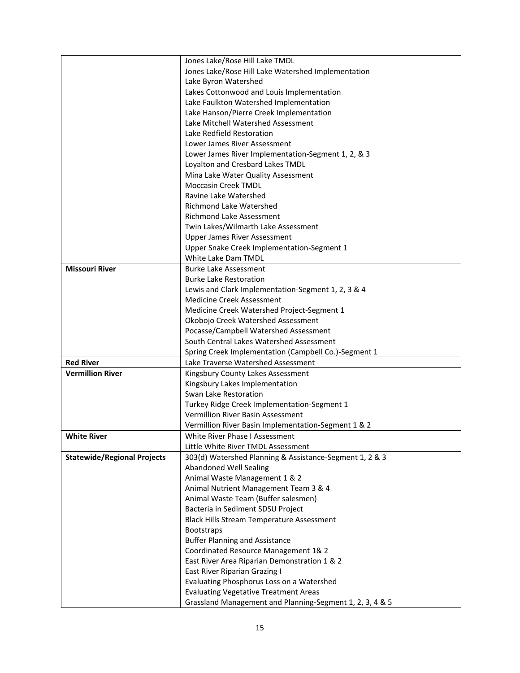|                                    | Jones Lake/Rose Hill Lake TMDL                                             |  |  |  |  |  |  |  |
|------------------------------------|----------------------------------------------------------------------------|--|--|--|--|--|--|--|
|                                    | Jones Lake/Rose Hill Lake Watershed Implementation<br>Lake Byron Watershed |  |  |  |  |  |  |  |
|                                    |                                                                            |  |  |  |  |  |  |  |
|                                    | Lakes Cottonwood and Louis Implementation                                  |  |  |  |  |  |  |  |
|                                    | Lake Faulkton Watershed Implementation                                     |  |  |  |  |  |  |  |
|                                    | Lake Hanson/Pierre Creek Implementation                                    |  |  |  |  |  |  |  |
|                                    | Lake Mitchell Watershed Assessment                                         |  |  |  |  |  |  |  |
|                                    | Lake Redfield Restoration                                                  |  |  |  |  |  |  |  |
|                                    | Lower James River Assessment                                               |  |  |  |  |  |  |  |
|                                    | Lower James River Implementation-Segment 1, 2, & 3                         |  |  |  |  |  |  |  |
|                                    | Loyalton and Cresbard Lakes TMDL                                           |  |  |  |  |  |  |  |
|                                    | Mina Lake Water Quality Assessment                                         |  |  |  |  |  |  |  |
|                                    | <b>Moccasin Creek TMDL</b>                                                 |  |  |  |  |  |  |  |
|                                    | Ravine Lake Watershed                                                      |  |  |  |  |  |  |  |
|                                    | <b>Richmond Lake Watershed</b>                                             |  |  |  |  |  |  |  |
|                                    | <b>Richmond Lake Assessment</b>                                            |  |  |  |  |  |  |  |
|                                    | Twin Lakes/Wilmarth Lake Assessment                                        |  |  |  |  |  |  |  |
|                                    | <b>Upper James River Assessment</b>                                        |  |  |  |  |  |  |  |
|                                    | Upper Snake Creek Implementation-Segment 1                                 |  |  |  |  |  |  |  |
|                                    | White Lake Dam TMDL                                                        |  |  |  |  |  |  |  |
| <b>Missouri River</b>              | <b>Burke Lake Assessment</b>                                               |  |  |  |  |  |  |  |
|                                    | <b>Burke Lake Restoration</b>                                              |  |  |  |  |  |  |  |
|                                    | Lewis and Clark Implementation-Segment 1, 2, 3 & 4                         |  |  |  |  |  |  |  |
|                                    | <b>Medicine Creek Assessment</b>                                           |  |  |  |  |  |  |  |
|                                    | Medicine Creek Watershed Project-Segment 1                                 |  |  |  |  |  |  |  |
|                                    | Okobojo Creek Watershed Assessment                                         |  |  |  |  |  |  |  |
|                                    | Pocasse/Campbell Watershed Assessment                                      |  |  |  |  |  |  |  |
|                                    | South Central Lakes Watershed Assessment                                   |  |  |  |  |  |  |  |
|                                    | Spring Creek Implementation (Campbell Co.)-Segment 1                       |  |  |  |  |  |  |  |
| <b>Red River</b>                   | Lake Traverse Watershed Assessment                                         |  |  |  |  |  |  |  |
| <b>Vermillion River</b>            | Kingsbury County Lakes Assessment                                          |  |  |  |  |  |  |  |
|                                    | Kingsbury Lakes Implementation                                             |  |  |  |  |  |  |  |
|                                    | Swan Lake Restoration                                                      |  |  |  |  |  |  |  |
|                                    | Turkey Ridge Creek Implementation-Segment 1                                |  |  |  |  |  |  |  |
|                                    | Vermillion River Basin Assessment                                          |  |  |  |  |  |  |  |
|                                    | Vermillion River Basin Implementation-Segment 1 & 2                        |  |  |  |  |  |  |  |
| <b>White River</b>                 | White River Phase I Assessment                                             |  |  |  |  |  |  |  |
|                                    | Little White River TMDL Assessment                                         |  |  |  |  |  |  |  |
| <b>Statewide/Regional Projects</b> | 303(d) Watershed Planning & Assistance-Segment 1, 2 & 3                    |  |  |  |  |  |  |  |
|                                    | <b>Abandoned Well Sealing</b>                                              |  |  |  |  |  |  |  |
|                                    | Animal Waste Management 1 & 2                                              |  |  |  |  |  |  |  |
|                                    |                                                                            |  |  |  |  |  |  |  |
|                                    | Animal Nutrient Management Team 3 & 4                                      |  |  |  |  |  |  |  |
|                                    | Animal Waste Team (Buffer salesmen)                                        |  |  |  |  |  |  |  |
|                                    | Bacteria in Sediment SDSU Project                                          |  |  |  |  |  |  |  |
|                                    | <b>Black Hills Stream Temperature Assessment</b>                           |  |  |  |  |  |  |  |
|                                    | <b>Bootstraps</b>                                                          |  |  |  |  |  |  |  |
|                                    | <b>Buffer Planning and Assistance</b>                                      |  |  |  |  |  |  |  |
|                                    | Coordinated Resource Management 1& 2                                       |  |  |  |  |  |  |  |
|                                    | East River Area Riparian Demonstration 1 & 2                               |  |  |  |  |  |  |  |
|                                    | East River Riparian Grazing I                                              |  |  |  |  |  |  |  |
|                                    | Evaluating Phosphorus Loss on a Watershed                                  |  |  |  |  |  |  |  |
|                                    | <b>Evaluating Vegetative Treatment Areas</b>                               |  |  |  |  |  |  |  |
|                                    | Grassland Management and Planning-Segment 1, 2, 3, 4 & 5                   |  |  |  |  |  |  |  |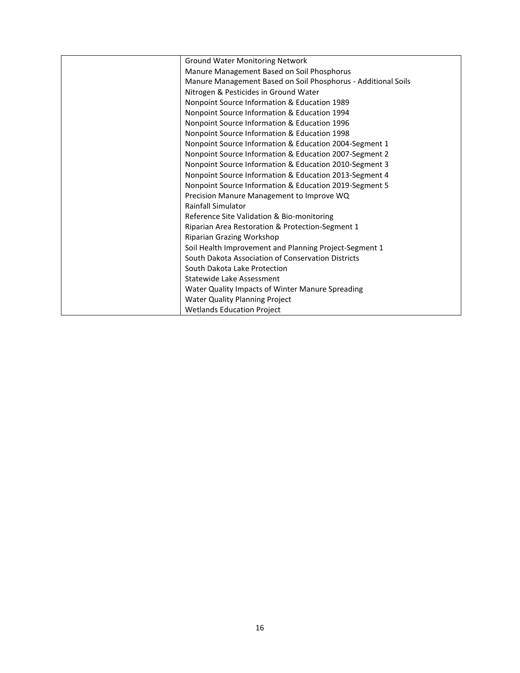| <b>Ground Water Monitoring Network</b>                        |
|---------------------------------------------------------------|
| Manure Management Based on Soil Phosphorus                    |
| Manure Management Based on Soil Phosphorus - Additional Soils |
| Nitrogen & Pesticides in Ground Water                         |
| Nonpoint Source Information & Education 1989                  |
| Nonpoint Source Information & Education 1994                  |
| Nonpoint Source Information & Education 1996                  |
| Nonpoint Source Information & Education 1998                  |
| Nonpoint Source Information & Education 2004-Segment 1        |
| Nonpoint Source Information & Education 2007-Segment 2        |
| Nonpoint Source Information & Education 2010-Segment 3        |
| Nonpoint Source Information & Education 2013-Segment 4        |
| Nonpoint Source Information & Education 2019-Segment 5        |
| Precision Manure Management to Improve WQ                     |
| <b>Rainfall Simulator</b>                                     |
| Reference Site Validation & Bio-monitoring                    |
| Riparian Area Restoration & Protection-Segment 1              |
| Riparian Grazing Workshop                                     |
| Soil Health Improvement and Planning Project-Segment 1        |
| South Dakota Association of Conservation Districts            |
| South Dakota Lake Protection                                  |
| Statewide Lake Assessment                                     |
| Water Quality Impacts of Winter Manure Spreading              |
| <b>Water Quality Planning Project</b>                         |
| <b>Wetlands Education Project</b>                             |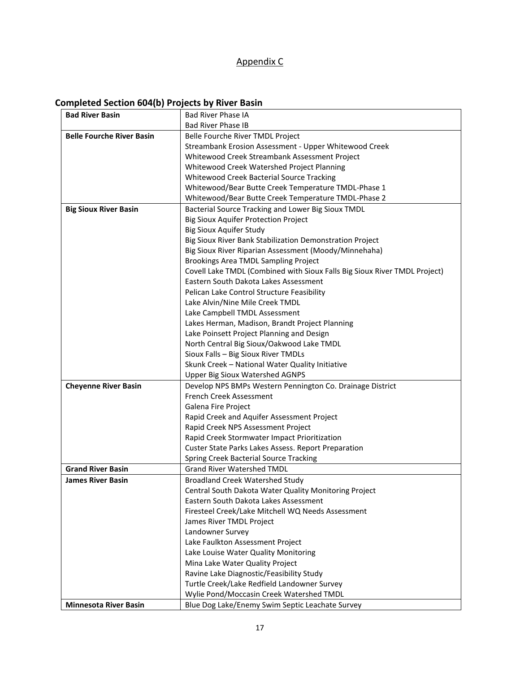## Appendix C

# **Completed Section 604(b) Projects by River Basin**

| <b>Bad River Basin</b>           | <b>Bad River Phase IA</b>                                                                                                                                                                                                                                                                                                                                                                                                                                                                                                                                             |  |  |  |  |  |  |  |  |
|----------------------------------|-----------------------------------------------------------------------------------------------------------------------------------------------------------------------------------------------------------------------------------------------------------------------------------------------------------------------------------------------------------------------------------------------------------------------------------------------------------------------------------------------------------------------------------------------------------------------|--|--|--|--|--|--|--|--|
|                                  | <b>Bad River Phase IB</b>                                                                                                                                                                                                                                                                                                                                                                                                                                                                                                                                             |  |  |  |  |  |  |  |  |
| <b>Belle Fourche River Basin</b> | Belle Fourche River TMDL Project                                                                                                                                                                                                                                                                                                                                                                                                                                                                                                                                      |  |  |  |  |  |  |  |  |
|                                  | Streambank Erosion Assessment - Upper Whitewood Creek                                                                                                                                                                                                                                                                                                                                                                                                                                                                                                                 |  |  |  |  |  |  |  |  |
|                                  | Whitewood Creek Streambank Assessment Project<br>Whitewood/Bear Butte Creek Temperature TMDL-Phase 2<br>Bacterial Source Tracking and Lower Big Sioux TMDL<br><b>Big Sioux Aquifer Protection Project</b><br><b>Big Sioux Aquifer Study</b><br>Big Sioux River Bank Stabilization Demonstration Project<br>Big Sioux River Riparian Assessment (Moody/Minnehaha)<br>Brookings Area TMDL Sampling Project<br>Lake Alvin/Nine Mile Creek TMDL<br>Lake Campbell TMDL Assessment<br>Lakes Herman, Madison, Brandt Project Planning<br>Sioux Falls - Big Sioux River TMDLs |  |  |  |  |  |  |  |  |
|                                  | Whitewood Creek Watershed Project Planning                                                                                                                                                                                                                                                                                                                                                                                                                                                                                                                            |  |  |  |  |  |  |  |  |
|                                  | Whitewood Creek Bacterial Source Tracking                                                                                                                                                                                                                                                                                                                                                                                                                                                                                                                             |  |  |  |  |  |  |  |  |
|                                  | Whitewood/Bear Butte Creek Temperature TMDL-Phase 1                                                                                                                                                                                                                                                                                                                                                                                                                                                                                                                   |  |  |  |  |  |  |  |  |
|                                  |                                                                                                                                                                                                                                                                                                                                                                                                                                                                                                                                                                       |  |  |  |  |  |  |  |  |
| <b>Big Sioux River Basin</b>     |                                                                                                                                                                                                                                                                                                                                                                                                                                                                                                                                                                       |  |  |  |  |  |  |  |  |
|                                  |                                                                                                                                                                                                                                                                                                                                                                                                                                                                                                                                                                       |  |  |  |  |  |  |  |  |
|                                  |                                                                                                                                                                                                                                                                                                                                                                                                                                                                                                                                                                       |  |  |  |  |  |  |  |  |
|                                  |                                                                                                                                                                                                                                                                                                                                                                                                                                                                                                                                                                       |  |  |  |  |  |  |  |  |
|                                  |                                                                                                                                                                                                                                                                                                                                                                                                                                                                                                                                                                       |  |  |  |  |  |  |  |  |
|                                  |                                                                                                                                                                                                                                                                                                                                                                                                                                                                                                                                                                       |  |  |  |  |  |  |  |  |
|                                  | Covell Lake TMDL (Combined with Sioux Falls Big Sioux River TMDL Project)                                                                                                                                                                                                                                                                                                                                                                                                                                                                                             |  |  |  |  |  |  |  |  |
|                                  | Eastern South Dakota Lakes Assessment                                                                                                                                                                                                                                                                                                                                                                                                                                                                                                                                 |  |  |  |  |  |  |  |  |
|                                  | Pelican Lake Control Structure Feasibility                                                                                                                                                                                                                                                                                                                                                                                                                                                                                                                            |  |  |  |  |  |  |  |  |
|                                  |                                                                                                                                                                                                                                                                                                                                                                                                                                                                                                                                                                       |  |  |  |  |  |  |  |  |
|                                  |                                                                                                                                                                                                                                                                                                                                                                                                                                                                                                                                                                       |  |  |  |  |  |  |  |  |
|                                  |                                                                                                                                                                                                                                                                                                                                                                                                                                                                                                                                                                       |  |  |  |  |  |  |  |  |
|                                  | Lake Poinsett Project Planning and Design                                                                                                                                                                                                                                                                                                                                                                                                                                                                                                                             |  |  |  |  |  |  |  |  |
|                                  | North Central Big Sioux/Oakwood Lake TMDL                                                                                                                                                                                                                                                                                                                                                                                                                                                                                                                             |  |  |  |  |  |  |  |  |
|                                  |                                                                                                                                                                                                                                                                                                                                                                                                                                                                                                                                                                       |  |  |  |  |  |  |  |  |
|                                  | Skunk Creek - National Water Quality Initiative                                                                                                                                                                                                                                                                                                                                                                                                                                                                                                                       |  |  |  |  |  |  |  |  |
|                                  | <b>Upper Big Sioux Watershed AGNPS</b>                                                                                                                                                                                                                                                                                                                                                                                                                                                                                                                                |  |  |  |  |  |  |  |  |
| <b>Cheyenne River Basin</b>      | Develop NPS BMPs Western Pennington Co. Drainage District                                                                                                                                                                                                                                                                                                                                                                                                                                                                                                             |  |  |  |  |  |  |  |  |
|                                  | <b>French Creek Assessment</b>                                                                                                                                                                                                                                                                                                                                                                                                                                                                                                                                        |  |  |  |  |  |  |  |  |
|                                  | Galena Fire Project                                                                                                                                                                                                                                                                                                                                                                                                                                                                                                                                                   |  |  |  |  |  |  |  |  |
|                                  | Rapid Creek and Aquifer Assessment Project                                                                                                                                                                                                                                                                                                                                                                                                                                                                                                                            |  |  |  |  |  |  |  |  |
|                                  | Rapid Creek NPS Assessment Project                                                                                                                                                                                                                                                                                                                                                                                                                                                                                                                                    |  |  |  |  |  |  |  |  |
|                                  | Rapid Creek Stormwater Impact Prioritization                                                                                                                                                                                                                                                                                                                                                                                                                                                                                                                          |  |  |  |  |  |  |  |  |
|                                  | <b>Custer State Parks Lakes Assess. Report Preparation</b>                                                                                                                                                                                                                                                                                                                                                                                                                                                                                                            |  |  |  |  |  |  |  |  |
|                                  | Spring Creek Bacterial Source Tracking                                                                                                                                                                                                                                                                                                                                                                                                                                                                                                                                |  |  |  |  |  |  |  |  |
| <b>Grand River Basin</b>         | <b>Grand River Watershed TMDL</b>                                                                                                                                                                                                                                                                                                                                                                                                                                                                                                                                     |  |  |  |  |  |  |  |  |
| <b>James River Basin</b>         | <b>Broadland Creek Watershed Study</b>                                                                                                                                                                                                                                                                                                                                                                                                                                                                                                                                |  |  |  |  |  |  |  |  |
|                                  | Central South Dakota Water Quality Monitoring Project                                                                                                                                                                                                                                                                                                                                                                                                                                                                                                                 |  |  |  |  |  |  |  |  |
|                                  | Eastern South Dakota Lakes Assessment                                                                                                                                                                                                                                                                                                                                                                                                                                                                                                                                 |  |  |  |  |  |  |  |  |
|                                  | Firesteel Creek/Lake Mitchell WQ Needs Assessment                                                                                                                                                                                                                                                                                                                                                                                                                                                                                                                     |  |  |  |  |  |  |  |  |
|                                  | James River TMDL Project                                                                                                                                                                                                                                                                                                                                                                                                                                                                                                                                              |  |  |  |  |  |  |  |  |
|                                  | Landowner Survey                                                                                                                                                                                                                                                                                                                                                                                                                                                                                                                                                      |  |  |  |  |  |  |  |  |
|                                  | Lake Faulkton Assessment Project                                                                                                                                                                                                                                                                                                                                                                                                                                                                                                                                      |  |  |  |  |  |  |  |  |
|                                  | Lake Louise Water Quality Monitoring                                                                                                                                                                                                                                                                                                                                                                                                                                                                                                                                  |  |  |  |  |  |  |  |  |
|                                  | Mina Lake Water Quality Project                                                                                                                                                                                                                                                                                                                                                                                                                                                                                                                                       |  |  |  |  |  |  |  |  |
|                                  | Ravine Lake Diagnostic/Feasibility Study                                                                                                                                                                                                                                                                                                                                                                                                                                                                                                                              |  |  |  |  |  |  |  |  |
|                                  | Turtle Creek/Lake Redfield Landowner Survey                                                                                                                                                                                                                                                                                                                                                                                                                                                                                                                           |  |  |  |  |  |  |  |  |
|                                  | Wylie Pond/Moccasin Creek Watershed TMDL                                                                                                                                                                                                                                                                                                                                                                                                                                                                                                                              |  |  |  |  |  |  |  |  |
| <b>Minnesota River Basin</b>     | Blue Dog Lake/Enemy Swim Septic Leachate Survey                                                                                                                                                                                                                                                                                                                                                                                                                                                                                                                       |  |  |  |  |  |  |  |  |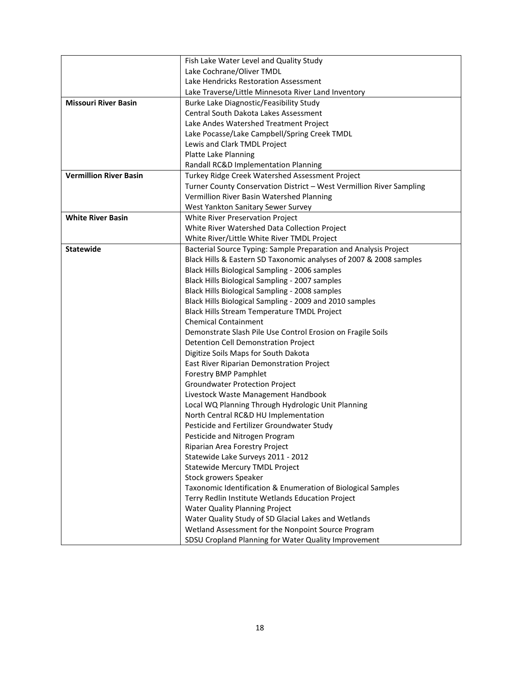|                               | Fish Lake Water Level and Quality Study                              |
|-------------------------------|----------------------------------------------------------------------|
|                               | Lake Cochrane/Oliver TMDL                                            |
|                               | Lake Hendricks Restoration Assessment                                |
|                               | Lake Traverse/Little Minnesota River Land Inventory                  |
| <b>Missouri River Basin</b>   | Burke Lake Diagnostic/Feasibility Study                              |
|                               | Central South Dakota Lakes Assessment                                |
|                               | Lake Andes Watershed Treatment Project                               |
|                               | Lake Pocasse/Lake Campbell/Spring Creek TMDL                         |
|                               | Lewis and Clark TMDL Project                                         |
|                               | <b>Platte Lake Planning</b>                                          |
|                               | Randall RC&D Implementation Planning                                 |
| <b>Vermillion River Basin</b> | Turkey Ridge Creek Watershed Assessment Project                      |
|                               | Turner County Conservation District - West Vermillion River Sampling |
|                               | Vermillion River Basin Watershed Planning                            |
|                               | West Yankton Sanitary Sewer Survey                                   |
| <b>White River Basin</b>      | White River Preservation Project                                     |
|                               | White River Watershed Data Collection Project                        |
|                               | White River/Little White River TMDL Project                          |
| <b>Statewide</b>              | Bacterial Source Typing: Sample Preparation and Analysis Project     |
|                               | Black Hills & Eastern SD Taxonomic analyses of 2007 & 2008 samples   |
|                               | Black Hills Biological Sampling - 2006 samples                       |
|                               | Black Hills Biological Sampling - 2007 samples                       |
|                               | Black Hills Biological Sampling - 2008 samples                       |
|                               | Black Hills Biological Sampling - 2009 and 2010 samples              |
|                               | Black Hills Stream Temperature TMDL Project                          |
|                               | <b>Chemical Containment</b>                                          |
|                               | Demonstrate Slash Pile Use Control Erosion on Fragile Soils          |
|                               | Detention Cell Demonstration Project                                 |
|                               | Digitize Soils Maps for South Dakota                                 |
|                               | East River Riparian Demonstration Project                            |
|                               | Forestry BMP Pamphlet                                                |
|                               | <b>Groundwater Protection Project</b>                                |
|                               | Livestock Waste Management Handbook                                  |
|                               | Local WQ Planning Through Hydrologic Unit Planning                   |
|                               | North Central RC&D HU Implementation                                 |
|                               | Pesticide and Fertilizer Groundwater Study                           |
|                               | Pesticide and Nitrogen Program                                       |
|                               | Riparian Area Forestry Project                                       |
|                               | Statewide Lake Surveys 2011 - 2012                                   |
|                               | Statewide Mercury TMDL Project                                       |
|                               | Stock growers Speaker                                                |
|                               | Taxonomic Identification & Enumeration of Biological Samples         |
|                               | Terry Redlin Institute Wetlands Education Project                    |
|                               | Water Quality Planning Project                                       |
|                               | Water Quality Study of SD Glacial Lakes and Wetlands                 |
|                               | Wetland Assessment for the Nonpoint Source Program                   |
|                               | SDSU Cropland Planning for Water Quality Improvement                 |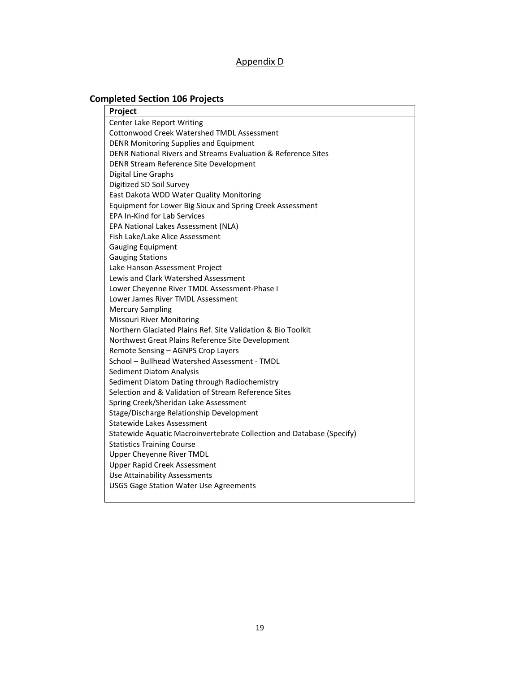### Appendix D

# **Completed Section 106 Projects**

| Project                                                               |  |
|-----------------------------------------------------------------------|--|
| <b>Center Lake Report Writing</b>                                     |  |
| <b>Cottonwood Creek Watershed TMDL Assessment</b>                     |  |
| DENR Monitoring Supplies and Equipment                                |  |
| DENR National Rivers and Streams Evaluation & Reference Sites         |  |
| DENR Stream Reference Site Development                                |  |
| Digital Line Graphs                                                   |  |
| Digitized SD Soil Survey                                              |  |
| East Dakota WDD Water Quality Monitoring                              |  |
| Equipment for Lower Big Sioux and Spring Creek Assessment             |  |
| <b>EPA In-Kind for Lab Services</b>                                   |  |
| EPA National Lakes Assessment (NLA)                                   |  |
| Fish Lake/Lake Alice Assessment                                       |  |
| <b>Gauging Equipment</b>                                              |  |
| <b>Gauging Stations</b>                                               |  |
| Lake Hanson Assessment Project                                        |  |
| Lewis and Clark Watershed Assessment                                  |  |
| Lower Cheyenne River TMDL Assessment-Phase I                          |  |
| Lower James River TMDL Assessment                                     |  |
| <b>Mercury Sampling</b>                                               |  |
| <b>Missouri River Monitoring</b>                                      |  |
| Northern Glaciated Plains Ref. Site Validation & Bio Toolkit          |  |
| Northwest Great Plains Reference Site Development                     |  |
| Remote Sensing - AGNPS Crop Layers                                    |  |
| School - Bullhead Watershed Assessment - TMDL                         |  |
| <b>Sediment Diatom Analysis</b>                                       |  |
| Sediment Diatom Dating through Radiochemistry                         |  |
| Selection and & Validation of Stream Reference Sites                  |  |
| Spring Creek/Sheridan Lake Assessment                                 |  |
| Stage/Discharge Relationship Development                              |  |
| <b>Statewide Lakes Assessment</b>                                     |  |
| Statewide Aquatic Macroinvertebrate Collection and Database (Specify) |  |
| <b>Statistics Training Course</b>                                     |  |
| Upper Cheyenne River TMDL                                             |  |
| Upper Rapid Creek Assessment                                          |  |
| Use Attainability Assessments                                         |  |
| <b>USGS Gage Station Water Use Agreements</b>                         |  |
|                                                                       |  |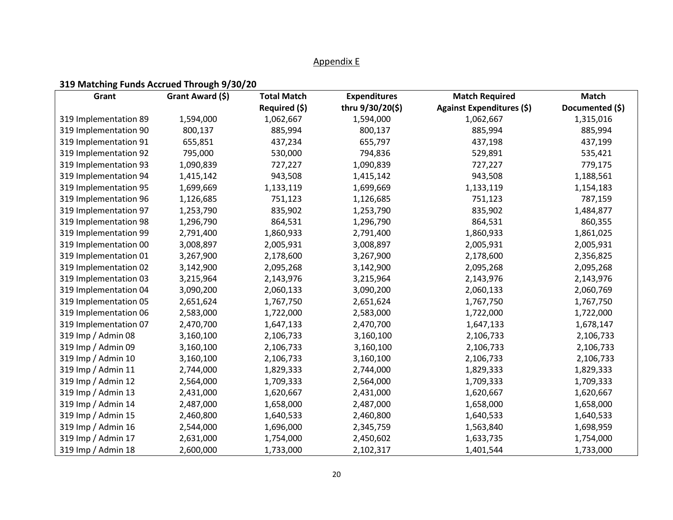### Appendix E

## **319 Matching Funds Accrued Through 9/30/20**

| Grant                 | Grant Award (\$) | <b>Total Match</b> | <b>Expenditures</b> | <b>Match Required</b>     | <b>Match</b>    |
|-----------------------|------------------|--------------------|---------------------|---------------------------|-----------------|
|                       |                  | Required (\$)      | thru 9/30/20(\$)    | Against Expenditures (\$) | Documented (\$) |
| 319 Implementation 89 | 1,594,000        | 1,062,667          | 1,594,000           | 1,062,667                 | 1,315,016       |
| 319 Implementation 90 | 800,137          | 885,994            | 800,137             | 885,994                   | 885,994         |
| 319 Implementation 91 | 655,851          | 437,234            | 655,797             | 437,198                   | 437,199         |
| 319 Implementation 92 | 795,000          | 530,000            | 794,836             | 529,891                   | 535,421         |
| 319 Implementation 93 | 1,090,839        | 727,227            | 1,090,839           | 727,227                   | 779,175         |
| 319 Implementation 94 | 1,415,142        | 943,508            | 1,415,142           | 943,508                   | 1,188,561       |
| 319 Implementation 95 | 1,699,669        | 1,133,119          | 1,699,669           | 1,133,119                 | 1,154,183       |
| 319 Implementation 96 | 1,126,685        | 751,123            | 1,126,685           | 751,123                   | 787,159         |
| 319 Implementation 97 | 1,253,790        | 835,902            | 1,253,790           | 835,902                   | 1,484,877       |
| 319 Implementation 98 | 1,296,790        | 864,531            | 1,296,790           | 864,531                   | 860,355         |
| 319 Implementation 99 | 2,791,400        | 1,860,933          | 2,791,400           | 1,860,933                 | 1,861,025       |
| 319 Implementation 00 | 3,008,897        | 2,005,931          | 3,008,897           | 2,005,931                 | 2,005,931       |
| 319 Implementation 01 | 3,267,900        | 2,178,600          | 3,267,900           | 2,178,600                 | 2,356,825       |
| 319 Implementation 02 | 3,142,900        | 2,095,268          | 3,142,900           | 2,095,268                 | 2,095,268       |
| 319 Implementation 03 | 3,215,964        | 2,143,976          | 3,215,964           | 2,143,976                 | 2,143,976       |
| 319 Implementation 04 | 3,090,200        | 2,060,133          | 3,090,200           | 2,060,133                 | 2,060,769       |
| 319 Implementation 05 | 2,651,624        | 1,767,750          | 2,651,624           | 1,767,750                 | 1,767,750       |
| 319 Implementation 06 | 2,583,000        | 1,722,000          | 2,583,000           | 1,722,000                 | 1,722,000       |
| 319 Implementation 07 | 2,470,700        | 1,647,133          | 2,470,700           | 1,647,133                 | 1,678,147       |
| 319 Imp / Admin 08    | 3,160,100        | 2,106,733          | 3,160,100           | 2,106,733                 | 2,106,733       |
| 319 Imp / Admin 09    | 3,160,100        | 2,106,733          | 3,160,100           | 2,106,733                 | 2,106,733       |
| 319 Imp / Admin 10    | 3,160,100        | 2,106,733          | 3,160,100           | 2,106,733                 | 2,106,733       |
| 319 Imp / Admin 11    | 2,744,000        | 1,829,333          | 2,744,000           | 1,829,333                 | 1,829,333       |
| 319 Imp / Admin 12    | 2,564,000        | 1,709,333          | 2,564,000           | 1,709,333                 | 1,709,333       |
| 319 Imp / Admin 13    | 2,431,000        | 1,620,667          | 2,431,000           | 1,620,667                 | 1,620,667       |
| 319 Imp / Admin 14    | 2,487,000        | 1,658,000          | 2,487,000           | 1,658,000                 | 1,658,000       |
| 319 Imp / Admin 15    | 2,460,800        | 1,640,533          | 2,460,800           | 1,640,533                 | 1,640,533       |
| 319 Imp / Admin 16    | 2,544,000        | 1,696,000          | 2,345,759           | 1,563,840                 | 1,698,959       |
| 319 Imp / Admin 17    | 2,631,000        | 1,754,000          | 2,450,602           | 1,633,735                 | 1,754,000       |
| 319 Imp / Admin 18    | 2,600,000        | 1,733,000          | 2,102,317           | 1,401,544                 | 1,733,000       |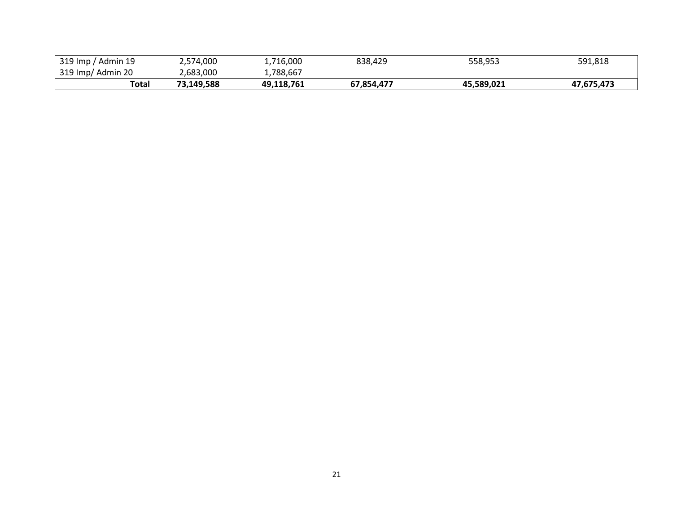| 319 Imp / Admin 19 | 2,574,000  | 1.716.000  | 838,429    | 558,953    | 591,818    |
|--------------------|------------|------------|------------|------------|------------|
| 319 Imp/ Admin 20  | 2,683,000  | ⊥,788,667  |            |            |            |
| Total              | 73.149.588 | 49,118,761 | 67,854,477 | 45,589,021 | 47,675,473 |